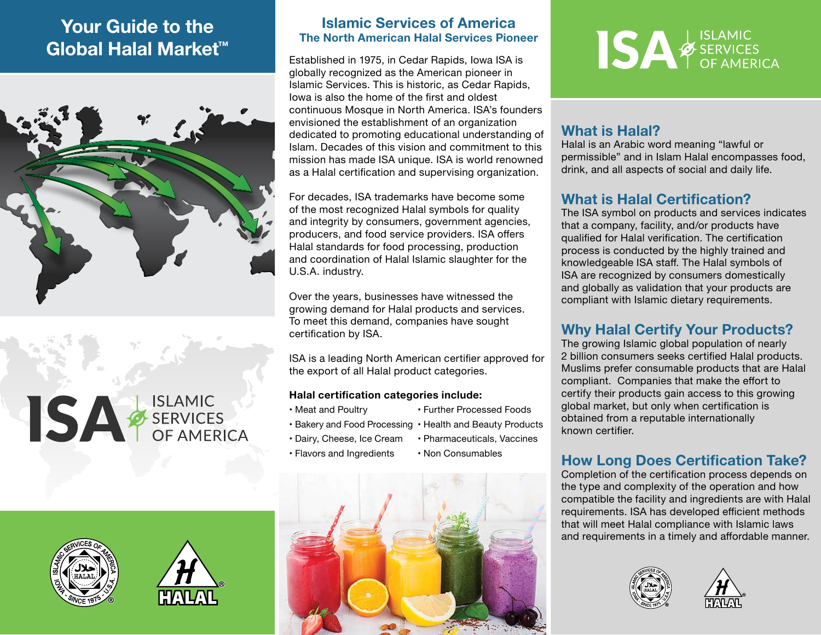## Your Guide to the Global Halal Market™



SA SERVICES





#### Islamic Services of America The North American Halal Services Pioneer

Established in 1975, in Cedar Rapids, Iowa ISA is globally recognized as the American pioneer in Islamic Services. This is historic, as Cedar Rapids, Iowa is also the home of the first and oldest continuous Mosque in North America. ISA's founders envisioned the establishment of an organization dedicated to promoting educational understanding of Islam. Decades of this vision and commitment to this mission has made ISA unique. ISA is world renowned as a Halal certification and supervising organization.

For decades, ISA trademarks have become some of the most recognized Halal symbols for quality and integrity by consumers, government agencies, producers, and food service providers. ISA offers Halal standards for food processing, production and coordination of Halal Islamic slaughter for the U.S.A. industry.

Over the years, businesses have witnessed the growing demand for Halal products and services. To meet this demand, companies have sought certification by ISA.

ISA is a leading North American certifier approved for the export of all Halal product categories.

#### Halal certification categories include:

- Meat and Poultry Further Processed Foods
	-
- Bakery and Food Processing Health and Beauty Products
	-
- Dairy, Cheese, Ice Cream Pharmaceuticals, Vaccines
- Flavors and Ingredients Non Consumables
- 





### What is Halal?

Halal is an Arabic word meaning "lawful or permissible" and in Islam Halal encompasses food, drink, and all aspects of social and daily life.

### What is Halal Certification?

The ISA symbol on products and services indicates that a company, facility, and/or products have qualified for Halal verification. The certification process is conducted by the highly trained and knowledgeable ISA staff. The Halal symbols of ISA are recognized by consumers domestically and globally as validation that your products are compliant with Islamic dietary requirements.

### Why Halal Certify Your Products?

The growing Islamic global population of nearly 2 billion consumers seeks certified Halal products. Muslims prefer consumable products that are Halal compliant. Companies that make the effort to certify their products gain access to this growing global market, but only when certification is obtained from a reputable internationally known certifier.

### How Long Does Certification Take?

Completion of the certification process depends on the type and complexity of the operation and how compatible the facility and ingredients are with Halal requirements. ISA has developed efficient methods that will meet Halal compliance with Islamic laws and requirements in a timely and affordable manner.